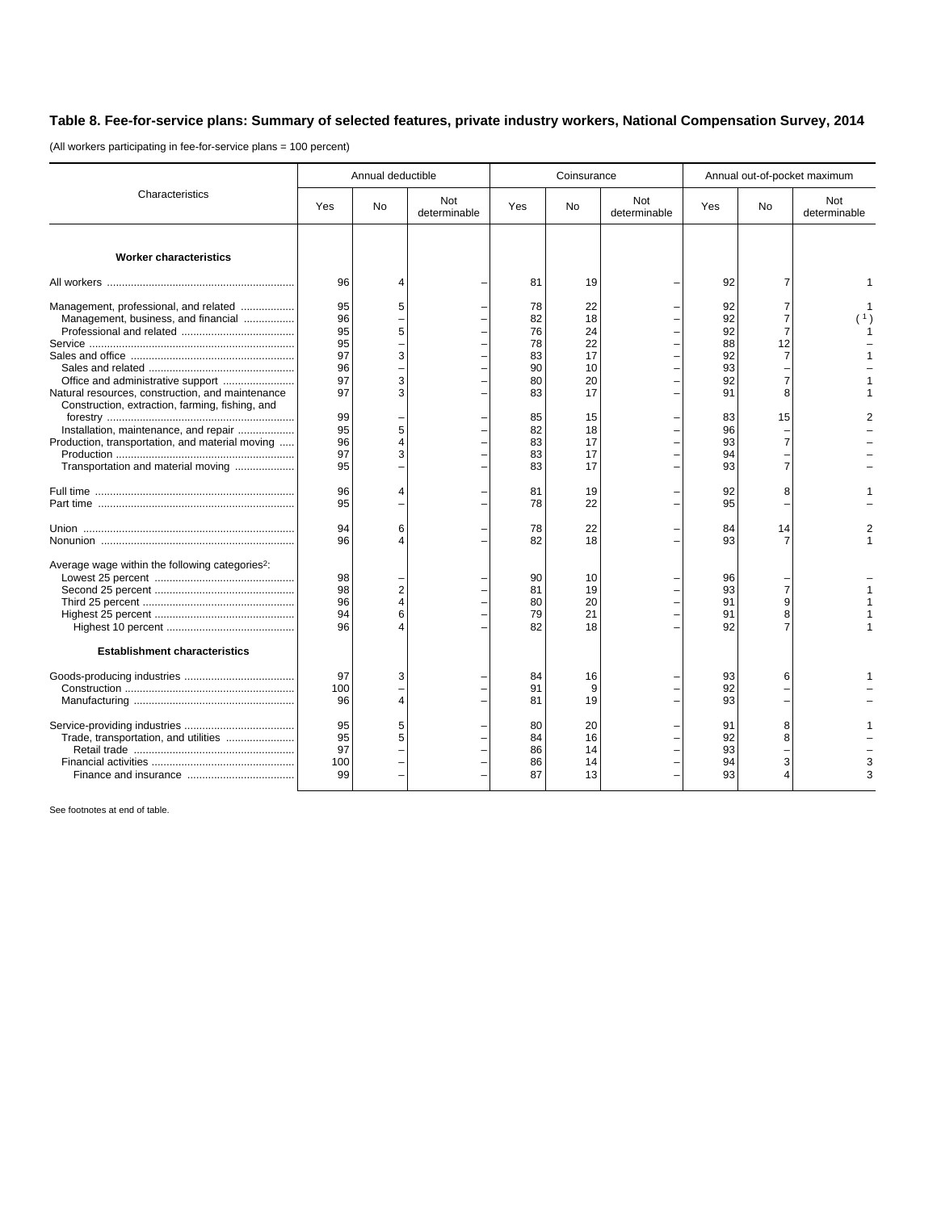## **Table 8. Fee-for-service plans: Summary of selected features, private industry workers, National Compensation Survey, 2014**

(All workers participating in fee-for-service plans = 100 percent)

| Characteristics                                                                                                                                                                                                                       | Annual deductible                      |                                   |                     |                                        | Coinsurance                            |                     | Annual out-of-pocket maximum           |             |                     |
|---------------------------------------------------------------------------------------------------------------------------------------------------------------------------------------------------------------------------------------|----------------------------------------|-----------------------------------|---------------------|----------------------------------------|----------------------------------------|---------------------|----------------------------------------|-------------|---------------------|
|                                                                                                                                                                                                                                       | Yes                                    | <b>No</b>                         | Not<br>determinable | Yes                                    | No                                     | Not<br>determinable | Yes                                    | <b>No</b>   | Not<br>determinable |
| <b>Worker characteristics</b>                                                                                                                                                                                                         |                                        |                                   |                     |                                        |                                        |                     |                                        |             |                     |
|                                                                                                                                                                                                                                       | 96                                     | $\overline{4}$                    |                     | 81                                     | 19                                     |                     | 92                                     |             |                     |
| Management, professional, and related<br>Management, business, and financial                                                                                                                                                          | 95<br>96<br>95<br>95<br>97<br>96<br>97 | 5<br>5<br>3<br>3                  |                     | 78<br>82<br>76<br>78<br>83<br>90<br>80 | 22<br>18<br>24<br>22<br>17<br>10<br>20 |                     | 92<br>92<br>92<br>88<br>92<br>93<br>92 | 12          |                     |
| Natural resources, construction, and maintenance<br>Construction, extraction, farming, fishing, and<br>Installation, maintenance, and repair<br>Production, transportation, and material moving<br>Transportation and material moving | 97<br>99<br>95<br>96<br>97<br>95       | 3<br>5<br>$\overline{4}$<br>3     |                     | 83<br>85<br>82<br>83<br>83<br>83       | 17<br>15<br>18<br>17<br>17<br>17       |                     | 91<br>83<br>96<br>93<br>94<br>93       | 8<br>15     |                     |
|                                                                                                                                                                                                                                       | 96<br>95                               | $\overline{4}$                    |                     | 81<br>78                               | 19<br>22                               |                     | 92<br>95                               | 8           |                     |
|                                                                                                                                                                                                                                       | 94<br>96                               | 6<br>4                            |                     | 78<br>82                               | 22<br>18                               |                     | 84<br>93                               | 14          |                     |
| Average wage within the following categories <sup>2</sup> :                                                                                                                                                                           | 98<br>98<br>96<br>94<br>96             | $\overline{\mathbf{c}}$<br>4<br>6 |                     | 90<br>81<br>80<br>79<br>82             | 10<br>19<br>20<br>21<br>18             |                     | 96<br>93<br>91<br>91<br>92             | 9<br>8      |                     |
| <b>Establishment characteristics</b>                                                                                                                                                                                                  |                                        |                                   |                     |                                        |                                        |                     |                                        |             |                     |
|                                                                                                                                                                                                                                       | 97<br>100<br>96                        | 3<br>4                            |                     | 84<br>91<br>81                         | 16<br>9<br>19                          |                     | 93<br>92<br>93                         | 6           |                     |
| Trade, transportation, and utilities                                                                                                                                                                                                  | 95<br>95<br>97<br>100<br>99            | 5<br>5                            |                     | 80<br>84<br>86<br>86<br>87             | 20<br>16<br>14<br>14<br>13             |                     | 91<br>92<br>93<br>94<br>93             | 8<br>8<br>3 |                     |

See footnotes at end of table.